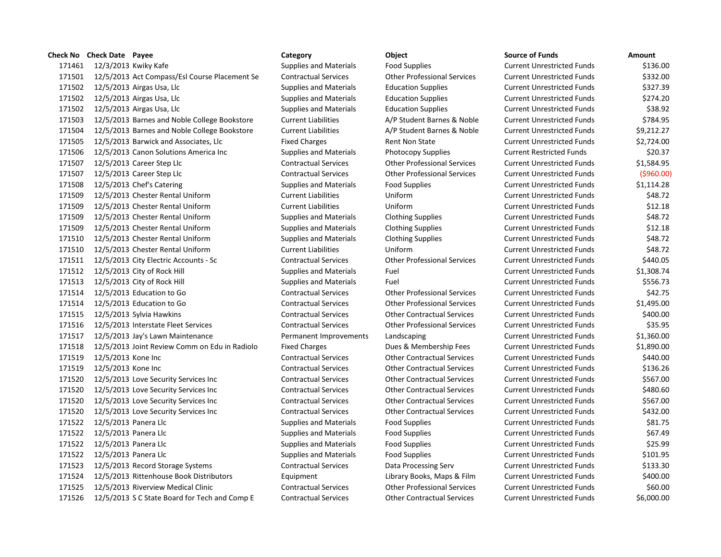|        | Check No Check Date Payee |                                               | Category                      | Object                             | <b>Source of Funds</b>            | Amount |
|--------|---------------------------|-----------------------------------------------|-------------------------------|------------------------------------|-----------------------------------|--------|
| 171461 |                           | 12/3/2013 Kwiky Kafe                          | <b>Supplies and Materials</b> | <b>Food Supplies</b>               | <b>Current Unrestricted Funds</b> | \$13   |
| 171501 |                           | 12/5/2013 Act Compass/Esl Course Placement Se | <b>Contractual Services</b>   | <b>Other Professional Services</b> | <b>Current Unrestricted Funds</b> | \$33   |
| 171502 |                           | 12/5/2013 Airgas Usa, Llc                     | <b>Supplies and Materials</b> | <b>Education Supplies</b>          | <b>Current Unrestricted Funds</b> | \$32   |
| 171502 |                           | 12/5/2013 Airgas Usa, Llc                     | <b>Supplies and Materials</b> | <b>Education Supplies</b>          | <b>Current Unrestricted Funds</b> | \$27   |
| 171502 |                           | 12/5/2013 Airgas Usa, Llc                     | <b>Supplies and Materials</b> | <b>Education Supplies</b>          | <b>Current Unrestricted Funds</b> | \$3    |
| 171503 |                           | 12/5/2013 Barnes and Noble College Bookstore  | <b>Current Liabilities</b>    | A/P Student Barnes & Noble         | <b>Current Unrestricted Funds</b> | \$78   |
| 171504 |                           | 12/5/2013 Barnes and Noble College Bookstore  | <b>Current Liabilities</b>    | A/P Student Barnes & Noble         | <b>Current Unrestricted Funds</b> | \$9,21 |
| 171505 |                           | 12/5/2013 Barwick and Associates, Llc         | <b>Fixed Charges</b>          | <b>Rent Non State</b>              | <b>Current Unrestricted Funds</b> | \$2,72 |
| 171506 |                           | 12/5/2013 Canon Solutions America Inc         | <b>Supplies and Materials</b> | Photocopy Supplies                 | <b>Current Restricted Funds</b>   | \$2    |
| 171507 |                           | 12/5/2013 Career Step Llc                     | <b>Contractual Services</b>   | <b>Other Professional Services</b> | <b>Current Unrestricted Funds</b> | \$1,58 |
| 171507 |                           | 12/5/2013 Career Step Llc                     | <b>Contractual Services</b>   | <b>Other Professional Services</b> | <b>Current Unrestricted Funds</b> | (596   |
| 171508 |                           | 12/5/2013 Chef's Catering                     | <b>Supplies and Materials</b> | <b>Food Supplies</b>               | <b>Current Unrestricted Funds</b> | \$1,11 |
| 171509 |                           | 12/5/2013 Chester Rental Uniform              | <b>Current Liabilities</b>    | Uniform                            | <b>Current Unrestricted Funds</b> | \$4    |
| 171509 |                           | 12/5/2013 Chester Rental Uniform              | <b>Current Liabilities</b>    | Uniform                            | <b>Current Unrestricted Funds</b> | \$1    |
| 171509 |                           | 12/5/2013 Chester Rental Uniform              | <b>Supplies and Materials</b> | <b>Clothing Supplies</b>           | <b>Current Unrestricted Funds</b> | \$4    |
| 171509 |                           | 12/5/2013 Chester Rental Uniform              | <b>Supplies and Materials</b> | <b>Clothing Supplies</b>           | <b>Current Unrestricted Funds</b> | \$1    |
| 171510 |                           | 12/5/2013 Chester Rental Uniform              | <b>Supplies and Materials</b> | <b>Clothing Supplies</b>           | <b>Current Unrestricted Funds</b> | \$4    |
| 171510 |                           | 12/5/2013 Chester Rental Uniform              | <b>Current Liabilities</b>    | Uniform                            | <b>Current Unrestricted Funds</b> | \$4    |
| 171511 |                           | 12/5/2013 City Electric Accounts - Sc         | <b>Contractual Services</b>   | <b>Other Professional Services</b> | <b>Current Unrestricted Funds</b> | \$44   |
| 171512 |                           | 12/5/2013 City of Rock Hill                   | <b>Supplies and Materials</b> | Fuel                               | <b>Current Unrestricted Funds</b> | \$1,30 |
| 171513 |                           | 12/5/2013 City of Rock Hill                   | <b>Supplies and Materials</b> | Fuel                               | <b>Current Unrestricted Funds</b> | \$55   |
| 171514 |                           | 12/5/2013 Education to Go                     | <b>Contractual Services</b>   | <b>Other Professional Services</b> | <b>Current Unrestricted Funds</b> | \$4    |
| 171514 |                           | 12/5/2013 Education to Go                     | <b>Contractual Services</b>   | <b>Other Professional Services</b> | <b>Current Unrestricted Funds</b> | \$1,49 |
| 171515 |                           | 12/5/2013 Sylvia Hawkins                      | <b>Contractual Services</b>   | <b>Other Contractual Services</b>  | <b>Current Unrestricted Funds</b> | \$40   |
| 171516 |                           | 12/5/2013 Interstate Fleet Services           | <b>Contractual Services</b>   | <b>Other Professional Services</b> | <b>Current Unrestricted Funds</b> | \$3    |
| 171517 |                           | 12/5/2013 Jay's Lawn Maintenance              | Permanent Improvements        | Landscaping                        | <b>Current Unrestricted Funds</b> | \$1,36 |
| 171518 |                           | 12/5/2013 Joint Review Comm on Edu in Radiolo | <b>Fixed Charges</b>          | Dues & Membership Fees             | <b>Current Unrestricted Funds</b> | \$1,89 |
| 171519 | 12/5/2013 Kone Inc        |                                               | <b>Contractual Services</b>   | <b>Other Contractual Services</b>  | <b>Current Unrestricted Funds</b> | \$44   |
| 171519 | 12/5/2013 Kone Inc        |                                               | <b>Contractual Services</b>   | <b>Other Contractual Services</b>  | <b>Current Unrestricted Funds</b> | \$13   |
| 171520 |                           | 12/5/2013 Love Security Services Inc          | <b>Contractual Services</b>   | <b>Other Contractual Services</b>  | <b>Current Unrestricted Funds</b> | \$56   |
| 171520 |                           | 12/5/2013 Love Security Services Inc          | <b>Contractual Services</b>   | <b>Other Contractual Services</b>  | <b>Current Unrestricted Funds</b> | \$48   |
| 171520 |                           | 12/5/2013 Love Security Services Inc          | <b>Contractual Services</b>   | <b>Other Contractual Services</b>  | <b>Current Unrestricted Funds</b> | \$56   |
| 171520 |                           | 12/5/2013 Love Security Services Inc          | <b>Contractual Services</b>   | <b>Other Contractual Services</b>  | <b>Current Unrestricted Funds</b> | \$43   |
| 171522 |                           | 12/5/2013 Panera Llc                          | <b>Supplies and Materials</b> | Food Supplies                      | <b>Current Unrestricted Funds</b> | \$8    |
| 171522 | 12/5/2013 Panera Llc      |                                               | <b>Supplies and Materials</b> | <b>Food Supplies</b>               | <b>Current Unrestricted Funds</b> | \$6    |
| 171522 | 12/5/2013 Panera Llc      |                                               | Supplies and Materials        | <b>Food Supplies</b>               | <b>Current Unrestricted Funds</b> | \$2    |
| 171522 | 12/5/2013 Panera Llc      |                                               | <b>Supplies and Materials</b> | Food Supplies                      | <b>Current Unrestricted Funds</b> | \$10   |
| 171523 |                           | 12/5/2013 Record Storage Systems              | <b>Contractual Services</b>   | Data Processing Serv               | <b>Current Unrestricted Funds</b> | \$13   |
| 171524 |                           | 12/5/2013 Rittenhouse Book Distributors       | Equipment                     | Library Books, Maps & Film         | <b>Current Unrestricted Funds</b> | \$40   |
| 171525 |                           | 12/5/2013 Riverview Medical Clinic            | <b>Contractual Services</b>   | <b>Other Professional Services</b> | <b>Current Unrestricted Funds</b> | \$6    |
| 171526 |                           | 12/5/2013 S C State Board for Tech and Comp E | <b>Contractual Services</b>   | <b>Other Contractual Services</b>  | <b>Current Unrestricted Funds</b> | \$6,00 |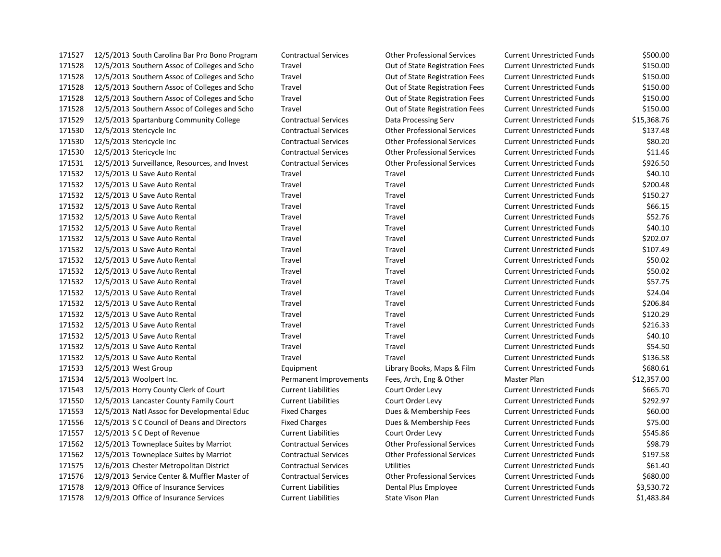| 171527 | 12/5/2013 South Carolina Bar Pro Bono Program | <b>Contractual Services</b> | <b>Other Professional Services</b> | <b>Current Unrestricted Funds</b> | \$500.00    |
|--------|-----------------------------------------------|-----------------------------|------------------------------------|-----------------------------------|-------------|
| 171528 | 12/5/2013 Southern Assoc of Colleges and Scho | Travel                      | Out of State Registration Fees     | <b>Current Unrestricted Funds</b> | \$150.00    |
| 171528 | 12/5/2013 Southern Assoc of Colleges and Scho | Travel                      | Out of State Registration Fees     | <b>Current Unrestricted Funds</b> | \$150.00    |
| 171528 | 12/5/2013 Southern Assoc of Colleges and Scho | Travel                      | Out of State Registration Fees     | <b>Current Unrestricted Funds</b> | \$150.00    |
| 171528 | 12/5/2013 Southern Assoc of Colleges and Scho | Travel                      | Out of State Registration Fees     | <b>Current Unrestricted Funds</b> | \$150.00    |
| 171528 | 12/5/2013 Southern Assoc of Colleges and Scho | Travel                      | Out of State Registration Fees     | <b>Current Unrestricted Funds</b> | \$150.00    |
| 171529 | 12/5/2013 Spartanburg Community College       | <b>Contractual Services</b> | Data Processing Serv               | <b>Current Unrestricted Funds</b> | \$15,368.76 |
| 171530 | 12/5/2013 Stericycle Inc                      | <b>Contractual Services</b> | <b>Other Professional Services</b> | <b>Current Unrestricted Funds</b> | \$137.48    |
| 171530 | 12/5/2013 Stericycle Inc                      | <b>Contractual Services</b> | <b>Other Professional Services</b> | <b>Current Unrestricted Funds</b> | \$80.20     |
| 171530 | 12/5/2013 Stericycle Inc                      | <b>Contractual Services</b> | <b>Other Professional Services</b> | <b>Current Unrestricted Funds</b> | \$11.46     |
| 171531 | 12/5/2013 Surveillance, Resources, and Invest | <b>Contractual Services</b> | <b>Other Professional Services</b> | <b>Current Unrestricted Funds</b> | \$926.50    |
| 171532 | 12/5/2013 U Save Auto Rental                  | Travel                      | Travel                             | <b>Current Unrestricted Funds</b> | \$40.10     |
| 171532 | 12/5/2013 U Save Auto Rental                  | Travel                      | Travel                             | <b>Current Unrestricted Funds</b> | \$200.48    |
| 171532 | 12/5/2013 U Save Auto Rental                  | Travel                      | Travel                             | <b>Current Unrestricted Funds</b> | \$150.27    |
| 171532 | 12/5/2013 U Save Auto Rental                  | Travel                      | Travel                             | <b>Current Unrestricted Funds</b> | \$66.15     |
| 171532 | 12/5/2013 U Save Auto Rental                  | Travel                      | Travel                             | <b>Current Unrestricted Funds</b> | \$52.76     |
| 171532 | 12/5/2013 U Save Auto Rental                  | Travel                      | Travel                             | <b>Current Unrestricted Funds</b> | \$40.10     |
| 171532 | 12/5/2013 U Save Auto Rental                  | Travel                      | Travel                             | <b>Current Unrestricted Funds</b> | \$202.07    |
| 171532 | 12/5/2013 U Save Auto Rental                  | Travel                      | Travel                             | <b>Current Unrestricted Funds</b> | \$107.49    |
| 171532 | 12/5/2013 U Save Auto Rental                  | Travel                      | Travel                             | <b>Current Unrestricted Funds</b> | \$50.02     |
| 171532 | 12/5/2013 U Save Auto Rental                  | Travel                      | Travel                             | <b>Current Unrestricted Funds</b> | \$50.02     |
| 171532 | 12/5/2013 U Save Auto Rental                  | Travel                      | Travel                             | <b>Current Unrestricted Funds</b> | \$57.75     |
| 171532 | 12/5/2013 U Save Auto Rental                  | Travel                      | Travel                             | <b>Current Unrestricted Funds</b> | \$24.04     |
| 171532 | 12/5/2013 U Save Auto Rental                  | Travel                      | Travel                             | <b>Current Unrestricted Funds</b> | \$206.84    |
| 171532 | 12/5/2013 U Save Auto Rental                  | Travel                      | Travel                             | <b>Current Unrestricted Funds</b> | \$120.29    |
| 171532 | 12/5/2013 U Save Auto Rental                  | Travel                      | Travel                             | <b>Current Unrestricted Funds</b> | \$216.33    |
| 171532 | 12/5/2013 U Save Auto Rental                  | Travel                      | Travel                             | <b>Current Unrestricted Funds</b> | \$40.10     |
| 171532 | 12/5/2013 U Save Auto Rental                  | Travel                      | Travel                             | <b>Current Unrestricted Funds</b> | \$54.50     |
| 171532 | 12/5/2013 U Save Auto Rental                  | Travel                      | Travel                             | <b>Current Unrestricted Funds</b> | \$136.58    |
| 171533 | 12/5/2013 West Group                          | Equipment                   | Library Books, Maps & Film         | <b>Current Unrestricted Funds</b> | \$680.61    |
| 171534 | 12/5/2013 Woolpert Inc.                       | Permanent Improvements      | Fees, Arch, Eng & Other            | Master Plan                       | \$12,357.00 |
| 171543 | 12/5/2013 Horry County Clerk of Court         | <b>Current Liabilities</b>  | Court Order Levy                   | <b>Current Unrestricted Funds</b> | \$665.70    |
| 171550 | 12/5/2013 Lancaster County Family Court       | <b>Current Liabilities</b>  | Court Order Levy                   | <b>Current Unrestricted Funds</b> | \$292.97    |
| 171553 | 12/5/2013 Natl Assoc for Developmental Educ   | <b>Fixed Charges</b>        | Dues & Membership Fees             | <b>Current Unrestricted Funds</b> | \$60.00     |
| 171556 | 12/5/2013 S C Council of Deans and Directors  | <b>Fixed Charges</b>        | Dues & Membership Fees             | <b>Current Unrestricted Funds</b> | \$75.00     |
| 171557 | 12/5/2013 S C Dept of Revenue                 | <b>Current Liabilities</b>  | Court Order Levy                   | <b>Current Unrestricted Funds</b> | \$545.86    |
| 171562 | 12/5/2013 Towneplace Suites by Marriot        | <b>Contractual Services</b> | <b>Other Professional Services</b> | <b>Current Unrestricted Funds</b> | \$98.79     |
| 171562 | 12/5/2013 Towneplace Suites by Marriot        | <b>Contractual Services</b> | <b>Other Professional Services</b> | <b>Current Unrestricted Funds</b> | \$197.58    |
| 171575 | 12/6/2013 Chester Metropolitan District       | <b>Contractual Services</b> | Utilities                          | <b>Current Unrestricted Funds</b> | \$61.40     |
| 171576 | 12/9/2013 Service Center & Muffler Master of  | <b>Contractual Services</b> | <b>Other Professional Services</b> | <b>Current Unrestricted Funds</b> | \$680.00    |
| 171578 | 12/9/2013 Office of Insurance Services        | <b>Current Liabilities</b>  | Dental Plus Employee               | <b>Current Unrestricted Funds</b> | \$3,530.72  |
| 171578 | 12/9/2013 Office of Insurance Services        | <b>Current Liabilities</b>  | <b>State Vison Plan</b>            | <b>Current Unrestricted Funds</b> | \$1,483.84  |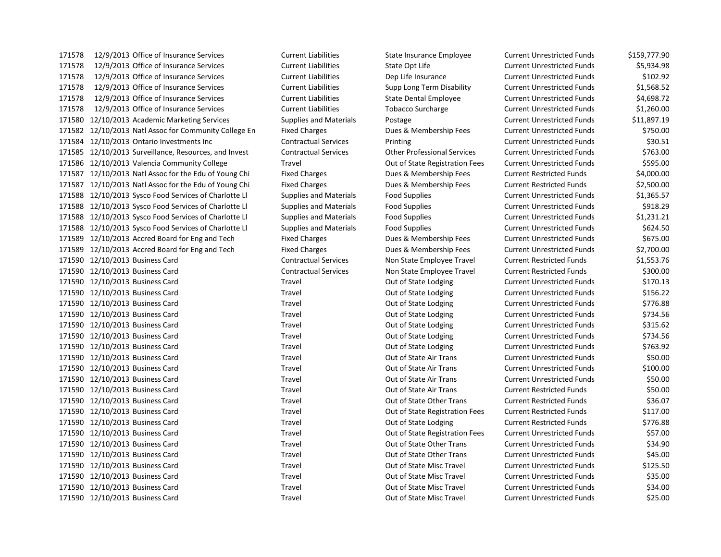171578 12/9/2013 Office of Insurance Services Current Liabilities State Opt Life Current Unrestricted Funds \$5,934.98 12/9/2013 Office of Insurance Services Current Liabilities Dep Life Insurance Current Unrestricted Funds \$102.92 12/9/2013 Office of Insurance Services Current Liabilities Supp Long Term Disability Current Unrestricted Funds \$1,568.52 12/9/2013 Office of Insurance Services Current Liabilities State Dental Employee Current Unrestricted Funds \$4,698.72 12/9/2013 Office of Insurance Services Current Liabilities Tobacco Surcharge Current Unrestricted Funds \$1,260.00 12/10/2013 Academic Marketing Services Supplies and Materials Postage Current Unrestricted Funds \$11,897.19 12/10/2013 Natl Assoc for Community College En Fixed Charges Dues & Membership Fees Current Unrestricted Funds \$750.00 12/10/2013 Ontario Investments Inc Contractual Services Printing Current Unrestricted Funds \$30.51 12/10/2013 Surveillance, Resources, and Invest Contractual Services Other Professional Services Current Unrestricted Funds \$763.00 171586 12/10/2013 Valencia Community College Travel Travel Out of State Registration Fees Current Unrestricted Funds \$595.00 171587 12/10/2013 Natl Assoc for the Edu of Young Chi Fixed Charges Dues & Membership Fees Current Restricted Funds \$4,000.00 12/10/2013 Natl Assoc for the Edu of Young Chi Fixed Charges Dues & Membership Fees Current Restricted Funds \$2,500.00 12/10/2013 Sysco Food Services of Charlotte Ll Supplies and Materials Food Supplies Current Unrestricted Funds \$1,365.57 12/10/2013 Sysco Food Services of Charlotte Ll Supplies and Materials Food Supplies Current Unrestricted Funds \$918.29 12/10/2013 Sysco Food Services of Charlotte Ll Supplies and Materials Food Supplies Current Unrestricted Funds \$1,231.21 12/10/2013 Sysco Food Services of Charlotte Ll Supplies and Materials Food Supplies Current Unrestricted Funds \$624.50 171589 12/10/2013 Accred Board for Eng and Tech Fixed Charges Dues & Membership Fees Current Unrestricted Funds \$675.00 171589 12/10/2013 Accred Board for Eng and Tech Fixed Charges Dues & Membership Fees Current Unrestricted Funds \$2,700.00 12/10/2013 Business Card Contractual Services Non State Employee Travel Current Restricted Funds \$1,553.76 12/10/2013 Business Card Contractual Services Non State Employee Travel Current Restricted Funds \$300.00 171590 12/10/2013 Business Card Travel Travel Current Longing Current Unrestricted Funds \$170.13 171590 12/10/2013 Business Card Travel Travel Current Longing Current Unrestricted Funds \$156.22 171590 12/10/2013 Business Card Travel Travel Current Longing Current Unrestricted Funds \$776.88 171590 12/10/2013 Business Card Travel Travel Current Longing Current Unrestricted Funds \$734.56 171590 12/10/2013 Business Card Travel Travel Current Longing Current Unrestricted Funds \$315.62 171590 12/10/2013 Business Card Travel Travel Current Longing Current Unrestricted Funds \$734.56 171590 12/10/2013 Business Card Travel Travel Current Longing Current Unrestricted Funds \$763.92 12/10/2013 Business Card Travel Out of State Air Trans Current Unrestricted Funds \$50.00 12/10/2013 Business Card Travel Out of State Air Trans Current Unrestricted Funds \$100.00 12/10/2013 Business Card Travel Out of State Air Trans Current Unrestricted Funds \$50.00 12/10/2013 Business Card Travel Out of State Air Trans Current Restricted Funds \$50.00 12/10/2013 Business Card Travel Out of State Other Trans Current Restricted Funds \$36.07 12/10/2013 Business Card Travel Out of State Registration Fees Current Restricted Funds \$117.00 171590 12/10/2013 Business Card Travel Travel Current Restricted Funds \$776.88 12/10/2013 Business Card Travel Out of State Registration Fees Current Unrestricted Funds \$57.00 171590 12/10/2013 Business Card Travel Travel Current Current Unrestricted Funds \$34.90 171590 12/10/2013 Business Card Travel Travel Travel Out of State Other Trans Current Unrestricted Funds \$45.00 171590 12/10/2013 Business Card Travel Travel Travel Out of State Misc Travel Current Unrestricted Funds \$125.50 12/10/2013 Business Card Travel Out of State Misc Travel Current Unrestricted Funds \$35.00 12/10/2013 Business Card Travel Out of State Misc Travel Current Unrestricted Funds \$34.00 12/10/2013 Business Card Travel Out of State Misc Travel Current Unrestricted Funds \$25.00

12/9/2013 Office of Insurance Services Current Liabilities State Insurance Employee Current Unrestricted Funds \$159,777.90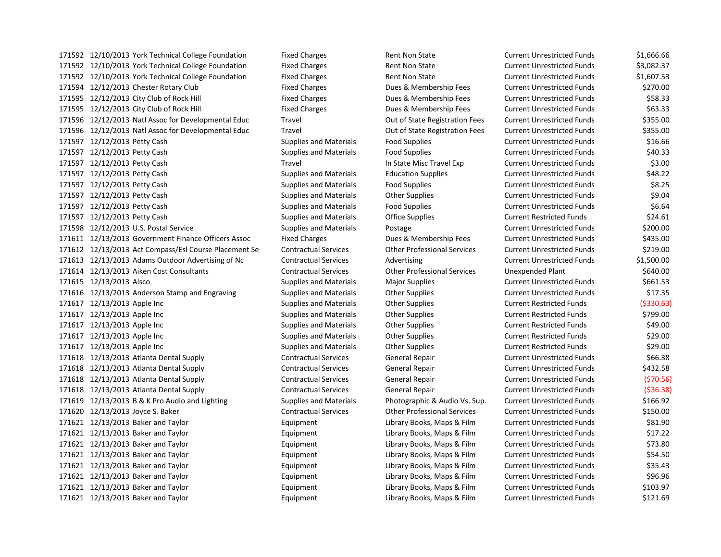171592 12/10/2013 York Technical College Foundation Fixed Charges Rent Non State Current Unrestricted Funds \$1,666.66 171592 12/10/2013 York Technical College Foundation Fixed Charges Rent Non State Current Unrestricted Funds \$3,082.37 12/10/2013 York Technical College Foundation Fixed Charges Rent Non State Current Unrestricted Funds \$1,607.53 12/12/2013 Chester Rotary Club Fixed Charges Dues & Membership Fees Current Unrestricted Funds \$270.00 171595 12/12/2013 City Club of Rock Hill Fixed Charges Dues & Membership Fees Current Unrestricted Funds \$58.33 171595 12/12/2013 City Club of Rock Hill Fixed Charges Dues & Membership Fees Current Unrestricted Funds \$63.33 12/12/2013 Natl Assoc for Developmental Educ Travel Out of State Registration Fees Current Unrestricted Funds \$355.00 12/12/2013 Natl Assoc for Developmental Educ Travel Out of State Registration Fees Current Unrestricted Funds \$355.00 12/12/2013 Petty Cash Supplies and Materials Food Supplies Current Unrestricted Funds \$16.66 12/12/2013 Petty Cash Supplies and Materials Food Supplies Current Unrestricted Funds \$40.33 12/12/2013 Petty Cash Travel In State Misc Travel Exp Current Unrestricted Funds \$3.00 12/12/2013 Petty Cash Supplies and Materials Education Supplies Current Unrestricted Funds \$48.22 171597 12/12/2013 Petty Cash Supplies and Materials Food Supplies Current Unrestricted Funds \$8.25 12/12/2013 Petty Cash Supplies and Materials Other Supplies Current Unrestricted Funds \$9.04 12/12/2013 Petty Cash Supplies and Materials Food Supplies Current Unrestricted Funds \$6.64 12/12/2013 Petty Cash Supplies and Materials Office Supplies Current Restricted Funds \$24.61 12/12/2013 U.S. Postal Service Supplies and Materials Postage Current Unrestricted Funds \$200.00 12/13/2013 Government Finance Officers Assoc Fixed Charges Dues & Membership Fees Current Unrestricted Funds \$435.00 12/13/2013 Act Compass/Esl Course Placement Se Contractual Services Other Professional Services Current Unrestricted Funds \$219.00 12/13/2013 Adams Outdoor Advertising of Nc Contractual Services Advertising Current Unrestricted Funds \$1,500.00 12/13/2013 Aiken Cost Consultants Contractual Services Other Professional Services Unexpended Plant \$640.00 171615 12/13/2013 Alsco **Supplies and Materials Materials** Major Supplies Current Unrestricted Funds \$661.53 171616 12/13/2013 Anderson Stamp and Engraving Supplies and Materials Other Supplies Current Unrestricted Funds \$17.35 171617 12/13/2013 Apple Inc **Supplies and Materials** Other Supplies Current Restricted Funds (\$330.63) 171617 12/13/2013 Apple Inc Current Restricted Funds Stapplies And Materials Current Restricted Funds (1999.00 12/13/2013 Apple Inc Supplies and Materials Other Supplies Current Restricted Funds \$49.00 171617 12/13/2013 Apple Inc Current Restricted Funds Supplies and Materials Other Supplies Current Restricted Funds \$29.00 171617 12/13/2013 Apple Inc Current Restricted Funds Supplies and Materials Other Supplies Current Restricted Funds \$29.00 12/13/2013 Atlanta Dental Supply Contractual Services General Repair Current Unrestricted Funds \$66.38 12/13/2013 Atlanta Dental Supply Contractual Services General Repair Current Unrestricted Funds \$432.58 12/13/2013 Atlanta Dental Supply Contractual Services General Repair Current Unrestricted Funds (\$70.56) 12/13/2013 Atlanta Dental Supply Contractual Services General Repair Current Unrestricted Funds (\$36.38) 171619 12/13/2013 B & K Pro Audio and Lighting Supplies and Materials Photographic & Audio Vs. Sup. Current Unrestricted Funds \$166.92 12/13/2013 Joyce S. Baker Contractual Services Other Professional Services Current Unrestricted Funds \$150.00 12/13/2013 Baker and Taylor Equipment Library Books, Maps & Film Current Unrestricted Funds \$81.90 12/13/2013 Baker and Taylor Equipment Library Books, Maps & Film Current Unrestricted Funds \$17.22 12/13/2013 Baker and Taylor Equipment Library Books, Maps & Film Current Unrestricted Funds \$73.80 12/13/2013 Baker and Taylor Equipment Library Books, Maps & Film Current Unrestricted Funds \$54.50 12/13/2013 Baker and Taylor Equipment Library Books, Maps & Film Current Unrestricted Funds \$35.43 12/13/2013 Baker and Taylor Equipment Library Books, Maps & Film Current Unrestricted Funds \$96.96 12/13/2013 Baker and Taylor Equipment Library Books, Maps & Film Current Unrestricted Funds \$103.97 12/13/2013 Baker and Taylor Equipment Library Books, Maps & Film Current Unrestricted Funds \$121.69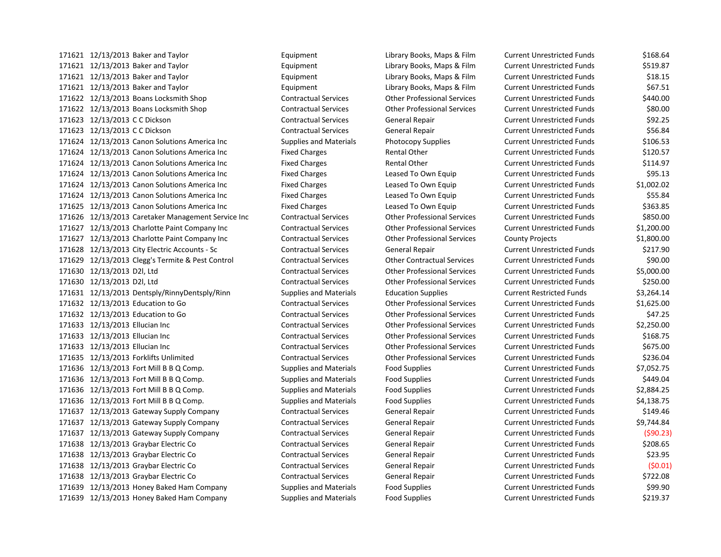171621 12/13/2013 Baker and Taylor **Equipment** Equipment Library Books, Maps & Film Current Unrestricted Funds \$519.87 12/13/2013 Baker and Taylor Equipment Library Books, Maps & Film Current Unrestricted Funds \$18.15 12/13/2013 Baker and Taylor Equipment Library Books, Maps & Film Current Unrestricted Funds \$67.51 12/13/2013 Boans Locksmith Shop Contractual Services Other Professional Services Current Unrestricted Funds \$440.00 12/13/2013 Boans Locksmith Shop Contractual Services Other Professional Services Current Unrestricted Funds \$80.00 12/13/2013 C C Dickson Contractual Services General Repair Current Unrestricted Funds \$92.25 12/13/2013 C C Dickson Contractual Services General Repair Current Unrestricted Funds \$56.84 171624 12/13/2013 Canon Solutions America Inc Supplies and Materials Photocopy Supplies Current Unrestricted Funds \$106.53 171624 12/13/2013 Canon Solutions America Inc Fixed Charges Rental Other Current Unrestricted Funds \$120.57 171624 12/13/2013 Canon Solutions America Inc Fixed Charges Rental Other Current Unrestricted Funds \$114.97 171624 12/13/2013 Canon Solutions America Inc Fixed Charges Leased To Own Equip Current Unrestricted Funds \$95.13 12/13/2013 Canon Solutions America Inc Fixed Charges Leased To Own Equip Current Unrestricted Funds \$1,002.02 12/13/2013 Canon Solutions America Inc Fixed Charges Leased To Own Equip Current Unrestricted Funds \$55.84 171625 12/13/2013 Canon Solutions America Inc Fixed Charges Leased To Own Equip Current Unrestricted Funds \$363.85 12/13/2013 Caretaker Management Service Inc Contractual Services Other Professional Services Current Unrestricted Funds \$850.00 12/13/2013 Charlotte Paint Company Inc Contractual Services Other Professional Services Current Unrestricted Funds \$1,200.00 12/13/2013 Charlotte Paint Company Inc Contractual Services Other Professional Services County Projects \$1,800.00 12/13/2013 City Electric Accounts - Sc Contractual Services General Repair Current Unrestricted Funds \$217.90 12/13/2013 Clegg's Termite & Pest Control Contractual Services Other Contractual Services Current Unrestricted Funds \$90.00 12/13/2013 D2l, Ltd Contractual Services Other Professional Services Current Unrestricted Funds \$5,000.00 12/13/2013 D2l, Ltd Contractual Services Other Professional Services Current Unrestricted Funds \$250.00 12/13/2013 Dentsply/RinnyDentsply/Rinn Supplies and Materials Education Supplies Current Restricted Funds \$3,264.14 12/13/2013 Education to Go Contractual Services Other Professional Services Current Unrestricted Funds \$1,625.00 12/13/2013 Education to Go Contractual Services Other Professional Services Current Unrestricted Funds \$47.25 12/13/2013 Ellucian Inc Contractual Services Other Professional Services Current Unrestricted Funds \$2,250.00 12/13/2013 Ellucian Inc Contractual Services Other Professional Services Current Unrestricted Funds \$168.75 12/13/2013 Ellucian Inc Contractual Services Other Professional Services Current Unrestricted Funds \$675.00 12/13/2013 Forklifts Unlimited Contractual Services Other Professional Services Current Unrestricted Funds \$236.04 171636 12/13/2013 Fort Mill B B Q Comp. Supplies and Materials Food Supplies Current Unrestricted Funds \$7,052.75 171636 12/13/2013 Fort Mill B B Q Comp. Supplies and Materials Food Supplies Current Unrestricted Funds \$449.04 12/13/2013 Fort Mill B B Q Comp. Supplies and Materials Food Supplies Current Unrestricted Funds \$2,884.25 171636 12/13/2013 Fort Mill B B Q Comp. Supplies and Materials Food Supplies Current Unrestricted Funds \$4,138.75 12/13/2013 Gateway Supply Company Contractual Services General Repair Current Unrestricted Funds \$149.46 12/13/2013 Gateway Supply Company Contractual Services General Repair Current Unrestricted Funds \$9,744.84 12/13/2013 Gateway Supply Company Contractual Services General Repair Current Unrestricted Funds (\$90.23) 12/13/2013 Graybar Electric Co Contractual Services General Repair Current Unrestricted Funds \$208.65 12/13/2013 Graybar Electric Co Contractual Services General Repair Current Unrestricted Funds \$23.95 12/13/2013 Graybar Electric Co Contractual Services General Repair Current Unrestricted Funds (\$0.01) 12/13/2013 Graybar Electric Co Contractual Services General Repair Current Unrestricted Funds \$722.08 12/13/2013 Honey Baked Ham Company Supplies and Materials Food Supplies Current Unrestricted Funds \$99.90 171639 12/13/2013 Honey Baked Ham Company Supplies and Materials Food Supplies Current Unrestricted Funds \$219.37

12/13/2013 Baker and Taylor Equipment Library Books, Maps & Film Current Unrestricted Funds \$168.64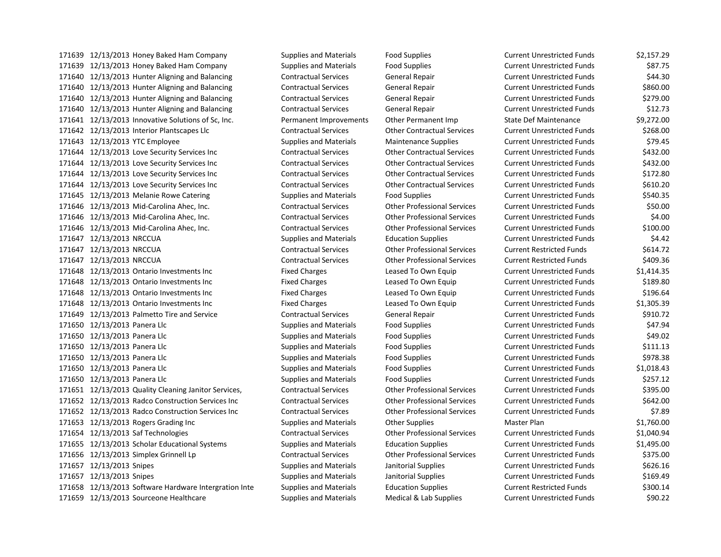12/13/2013 Honey Baked Ham Company Supplies and Materials Food Supplies Current Unrestricted Funds \$2,157.29 12/13/2013 Honey Baked Ham Company Supplies and Materials Food Supplies Current Unrestricted Funds \$87.75 12/13/2013 Hunter Aligning and Balancing Contractual Services General Repair Current Unrestricted Funds \$44.30 12/13/2013 Hunter Aligning and Balancing Contractual Services General Repair Current Unrestricted Funds \$860.00 12/13/2013 Hunter Aligning and Balancing Contractual Services General Repair Current Unrestricted Funds \$279.00 12/13/2013 Hunter Aligning and Balancing Contractual Services General Repair Current Unrestricted Funds \$12.73 171641 12/13/2013 Innovative Solutions of Sc, Inc. The Permanent Improvements Other Permanent Imp State Def Maintenance \$9,272.00 12/13/2013 Interior Plantscapes Llc Contractual Services Other Contractual Services Current Unrestricted Funds \$268.00 12/13/2013 YTC Employee Supplies and Materials Maintenance Supplies Current Unrestricted Funds \$79.45 12/13/2013 Love Security Services Inc Contractual Services Other Contractual Services Current Unrestricted Funds \$432.00 12/13/2013 Love Security Services Inc Contractual Services Other Contractual Services Current Unrestricted Funds \$432.00 12/13/2013 Love Security Services Inc Contractual Services Other Contractual Services Current Unrestricted Funds \$172.80 12/13/2013 Love Security Services Inc Contractual Services Other Contractual Services Current Unrestricted Funds \$610.20 171645 12/13/2013 Melanie Rowe Catering Supplies and Materials Food Supplies Current Unrestricted Funds \$540.35 12/13/2013 Mid-Carolina Ahec, Inc. Contractual Services Other Professional Services Current Unrestricted Funds \$50.00 12/13/2013 Mid-Carolina Ahec, Inc. Contractual Services Other Professional Services Current Unrestricted Funds \$4.00 12/13/2013 Mid-Carolina Ahec, Inc. Contractual Services Other Professional Services Current Unrestricted Funds \$100.00 12/13/2013 NRCCUA Supplies and Materials Education Supplies Current Unrestricted Funds \$4.42 12/13/2013 NRCCUA Contractual Services Other Professional Services Current Restricted Funds \$614.72 12/13/2013 NRCCUA Contractual Services Other Professional Services Current Restricted Funds \$409.36 171648 12/13/2013 Ontario Investments Inc Fixed Charges Leased To Own Equip Current Unrestricted Funds \$1,414.35 12/13/2013 Ontario Investments Inc Fixed Charges Leased To Own Equip Current Unrestricted Funds \$189.80 12/13/2013 Ontario Investments Inc Fixed Charges Leased To Own Equip Current Unrestricted Funds \$196.64 12/13/2013 Ontario Investments Inc Fixed Charges Leased To Own Equip Current Unrestricted Funds \$1,305.39 12/13/2013 Palmetto Tire and Service Contractual Services General Repair Current Unrestricted Funds \$910.72 171650 12/13/2013 Panera Llc **Supplies and Materials** Food Supplies Current Unrestricted Funds \$47.94 12/13/2013 Panera Llc Supplies and Materials Food Supplies Current Unrestricted Funds \$49.02 171650 12/13/2013 Panera Llc **Supplies and Materials** Food Supplies **Food Supplies Current Unrestricted Funds** \$111.13 171650 12/13/2013 Panera Llc **Supplies and Materials** Food Supplies **Food Supplies Current Unrestricted Funds** \$978.38 12/13/2013 Panera Llc Supplies and Materials Food Supplies Current Unrestricted Funds \$1,018.43 171650 12/13/2013 Panera Llc **Supplies and Materials** Food Supplies **Food Supplies Current Unrestricted Funds** \$257.12 12/13/2013 Quality Cleaning Janitor Services, Contractual Services Other Professional Services Current Unrestricted Funds \$395.00 12/13/2013 Radco Construction Services Inc Contractual Services Other Professional Services Current Unrestricted Funds \$642.00 12/13/2013 Radco Construction Services Inc Contractual Services Other Professional Services Current Unrestricted Funds \$7.89 171653 12/13/2013 Rogers Grading Inc Supplies and Materials Other Supplies Master Plan \$1,760.00 12/13/2013 Saf Technologies Contractual Services Other Professional Services Current Unrestricted Funds \$1,040.94 12/13/2013 Scholar Educational Systems Supplies and Materials Education Supplies Current Unrestricted Funds \$1,495.00 12/13/2013 Simplex Grinnell Lp Contractual Services Other Professional Services Current Unrestricted Funds \$375.00 12/13/2013 Snipes Supplies and Materials Janitorial Supplies Current Unrestricted Funds \$626.16 12/13/2013 Snipes Supplies and Materials Janitorial Supplies Current Unrestricted Funds \$169.49 12/13/2013 Software Hardware Intergration Inte Supplies and Materials Education Supplies Current Restricted Funds \$300.14 12/13/2013 Sourceone Healthcare Supplies and Materials Medical & Lab Supplies Current Unrestricted Funds \$90.22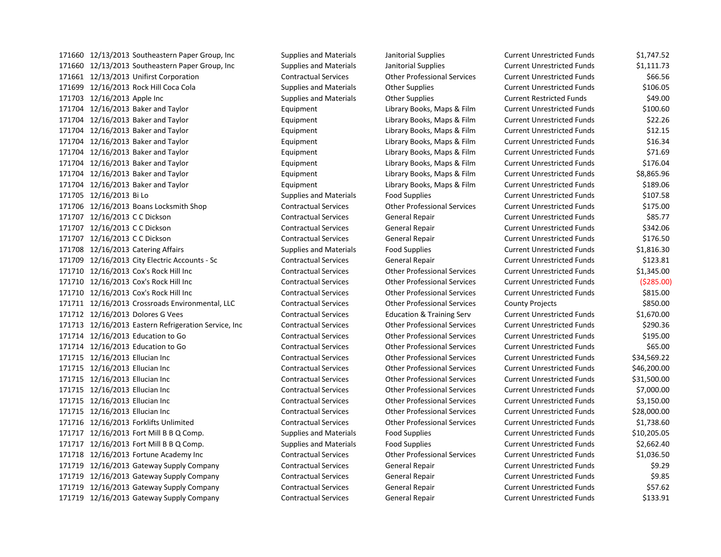12/13/2013 Southeastern Paper Group, Inc Supplies and Materials Janitorial Supplies Current Unrestricted Funds \$1,111.73 12/13/2013 Unifirst Corporation Contractual Services Other Professional Services Current Unrestricted Funds \$66.56 12/16/2013 Rock Hill Coca Cola Supplies and Materials Other Supplies Current Unrestricted Funds \$106.05 12/16/2013 Apple Inc Supplies and Materials Other Supplies Current Restricted Funds \$49.00 12/16/2013 Baker and Taylor Equipment Library Books, Maps & Film Current Unrestricted Funds \$100.60 12/16/2013 Baker and Taylor Equipment Library Books, Maps & Film Current Unrestricted Funds \$22.26 12/16/2013 Baker and Taylor Equipment Library Books, Maps & Film Current Unrestricted Funds \$12.15 12/16/2013 Baker and Taylor Equipment Library Books, Maps & Film Current Unrestricted Funds \$16.34 12/16/2013 Baker and Taylor Equipment Library Books, Maps & Film Current Unrestricted Funds \$71.69 12/16/2013 Baker and Taylor Equipment Library Books, Maps & Film Current Unrestricted Funds \$176.04 12/16/2013 Baker and Taylor Equipment Library Books, Maps & Film Current Unrestricted Funds \$8,865.96 12/16/2013 Baker and Taylor Equipment Library Books, Maps & Film Current Unrestricted Funds \$189.06 12/16/2013 Bi Lo Supplies and Materials Food Supplies Current Unrestricted Funds \$107.58 12/16/2013 Boans Locksmith Shop Contractual Services Other Professional Services Current Unrestricted Funds \$175.00 12/16/2013 C C Dickson Contractual Services General Repair Current Unrestricted Funds \$85.77 12/16/2013 C C Dickson Contractual Services General Repair Current Unrestricted Funds \$342.06 12/16/2013 C C Dickson Contractual Services General Repair Current Unrestricted Funds \$176.50 12/16/2013 Catering Affairs Supplies and Materials Food Supplies Current Unrestricted Funds \$1,816.30 12/16/2013 City Electric Accounts - Sc Contractual Services General Repair Current Unrestricted Funds \$123.81 12/16/2013 Cox's Rock Hill Inc Contractual Services Other Professional Services Current Unrestricted Funds \$1,345.00 12/16/2013 Cox's Rock Hill Inc Contractual Services Other Professional Services Current Unrestricted Funds (\$285.00) 12/16/2013 Cox's Rock Hill Inc Contractual Services Other Professional Services Current Unrestricted Funds \$815.00 12/16/2013 Crossroads Environmental, LLC Contractual Services Other Professional Services County Projects \$850.00 12/16/2013 Dolores G Vees Contractual Services Education & Training Serv Current Unrestricted Funds \$1,670.00 12/16/2013 Eastern Refrigeration Service, Inc Contractual Services Other Professional Services Current Unrestricted Funds \$290.36 12/16/2013 Education to Go Contractual Services Other Professional Services Current Unrestricted Funds \$195.00 12/16/2013 Education to Go Contractual Services Other Professional Services Current Unrestricted Funds \$65.00 12/16/2013 Ellucian Inc Contractual Services Other Professional Services Current Unrestricted Funds \$34,569.22 12/16/2013 Ellucian Inc Contractual Services Other Professional Services Current Unrestricted Funds \$46,200.00 12/16/2013 Ellucian Inc Contractual Services Other Professional Services Current Unrestricted Funds \$31,500.00 12/16/2013 Ellucian Inc Contractual Services Other Professional Services Current Unrestricted Funds \$7,000.00 12/16/2013 Ellucian Inc Contractual Services Other Professional Services Current Unrestricted Funds \$3,150.00 12/16/2013 Ellucian Inc Contractual Services Other Professional Services Current Unrestricted Funds \$28,000.00 12/16/2013 Forklifts Unlimited Contractual Services Other Professional Services Current Unrestricted Funds \$1,738.60 12/16/2013 Fort Mill B B Q Comp. Supplies and Materials Food Supplies Current Unrestricted Funds \$10,205.05 12/16/2013 Fort Mill B B Q Comp. Supplies and Materials Food Supplies Current Unrestricted Funds \$2,662.40 12/16/2013 Fortune Academy Inc Contractual Services Other Professional Services Current Unrestricted Funds \$1,036.50 12/16/2013 Gateway Supply Company Contractual Services General Repair Current Unrestricted Funds \$9.29 12/16/2013 Gateway Supply Company Contractual Services General Repair Current Unrestricted Funds \$9.85 12/16/2013 Gateway Supply Company Contractual Services General Repair Current Unrestricted Funds \$57.62 12/16/2013 Gateway Supply Company Contractual Services General Repair Current Unrestricted Funds \$133.91

12/13/2013 Southeastern Paper Group, Inc Supplies and Materials Janitorial Supplies Current Unrestricted Funds \$1,747.52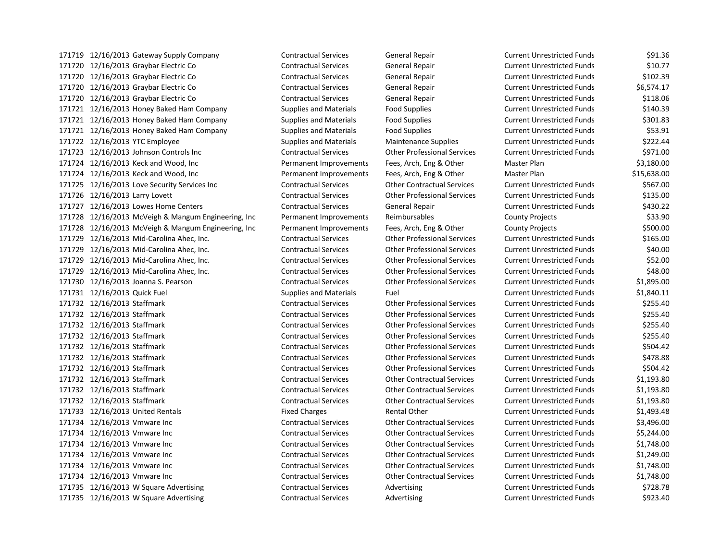12/16/2013 Gateway Supply Company Contractual Services General Repair Current Unrestricted Funds \$91.36 12/16/2013 Graybar Electric Co Contractual Services General Repair Current Unrestricted Funds \$10.77 12/16/2013 Graybar Electric Co Contractual Services General Repair Current Unrestricted Funds \$102.39 12/16/2013 Graybar Electric Co Contractual Services General Repair Current Unrestricted Funds \$6,574.17 12/16/2013 Graybar Electric Co Contractual Services General Repair Current Unrestricted Funds \$118.06 171721 12/16/2013 Honey Baked Ham Company Supplies and Materials Food Supplies Current Unrestricted Funds \$140.39 12/16/2013 Honey Baked Ham Company Supplies and Materials Food Supplies Current Unrestricted Funds \$301.83 12/16/2013 Honey Baked Ham Company Supplies and Materials Food Supplies Current Unrestricted Funds \$53.91 12/16/2013 YTC Employee Supplies and Materials Maintenance Supplies Current Unrestricted Funds \$222.44 12/16/2013 Johnson Controls Inc Contractual Services Other Professional Services Current Unrestricted Funds \$971.00 12/16/2013 Keck and Wood, Inc Permanent Improvements Fees, Arch, Eng & Other Master Plan \$3,180.00 12/16/2013 Keck and Wood, Inc Permanent Improvements Fees, Arch, Eng & Other Master Plan \$15,638.00 12/16/2013 Love Security Services Inc Contractual Services Other Contractual Services Current Unrestricted Funds \$567.00 12/16/2013 Larry Lovett Contractual Services Other Professional Services Current Unrestricted Funds \$135.00 12/16/2013 Lowes Home Centers Contractual Services General Repair Current Unrestricted Funds \$430.22 12/16/2013 McVeigh & Mangum Engineering, Inc Permanent Improvements Reimbursables County Projects \$33.90 12/16/2013 McVeigh & Mangum Engineering, Inc Permanent Improvements Fees, Arch, Eng & Other County Projects \$500.00 12/16/2013 Mid-Carolina Ahec, Inc. Contractual Services Other Professional Services Current Unrestricted Funds \$165.00 12/16/2013 Mid-Carolina Ahec, Inc. Contractual Services Other Professional Services Current Unrestricted Funds \$40.00 12/16/2013 Mid-Carolina Ahec, Inc. Contractual Services Other Professional Services Current Unrestricted Funds \$52.00 12/16/2013 Mid-Carolina Ahec, Inc. Contractual Services Other Professional Services Current Unrestricted Funds \$48.00 12/16/2013 Joanna S. Pearson Contractual Services Other Professional Services Current Unrestricted Funds \$1,895.00 12/16/2013 Quick Fuel Supplies and Materials Fuel Current Unrestricted Funds \$1,840.11 12/16/2013 Staffmark Contractual Services Other Professional Services Current Unrestricted Funds \$255.40 12/16/2013 Staffmark Contractual Services Other Professional Services Current Unrestricted Funds \$255.40 12/16/2013 Staffmark Contractual Services Other Professional Services Current Unrestricted Funds \$255.40 12/16/2013 Staffmark Contractual Services Other Professional Services Current Unrestricted Funds \$255.40 12/16/2013 Staffmark Contractual Services Other Professional Services Current Unrestricted Funds \$504.42 12/16/2013 Staffmark Contractual Services Other Professional Services Current Unrestricted Funds \$478.88 12/16/2013 Staffmark Contractual Services Other Professional Services Current Unrestricted Funds \$504.42 12/16/2013 Staffmark Contractual Services Other Contractual Services Current Unrestricted Funds \$1,193.80 12/16/2013 Staffmark Contractual Services Other Contractual Services Current Unrestricted Funds \$1,193.80 12/16/2013 Staffmark Contractual Services Other Contractual Services Current Unrestricted Funds \$1,193.80 171733 12/16/2013 United Rentals The State of Fixed Charges Rental Other Current Unrestricted Funds 51,493.48 12/16/2013 Vmware Inc Contractual Services Other Contractual Services Current Unrestricted Funds \$3,496.00 12/16/2013 Vmware Inc Contractual Services Other Contractual Services Current Unrestricted Funds \$5,244.00 12/16/2013 Vmware Inc Contractual Services Other Contractual Services Current Unrestricted Funds \$1,748.00 12/16/2013 Vmware Inc Contractual Services Other Contractual Services Current Unrestricted Funds \$1,249.00 12/16/2013 Vmware Inc Contractual Services Other Contractual Services Current Unrestricted Funds \$1,748.00 12/16/2013 Vmware Inc Contractual Services Other Contractual Services Current Unrestricted Funds \$1,748.00 171735 12/16/2013 W Square Advertising Contractual Services Advertising Current Unrestricted Funds \$728.78 171735 12/16/2013 W Square Advertising Contractual Services Advertising Current Unrestricted Funds \$923.40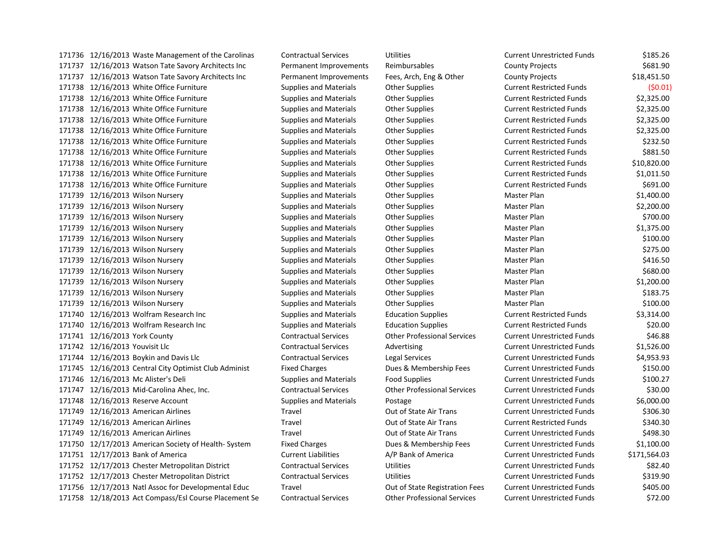12/16/2013 Waste Management of the Carolinas Contractual Services Utilities Current Unrestricted Funds \$185.26 12/16/2013 Watson Tate Savory Architects Inc Permanent Improvements Reimbursables County Projects \$681.90 12/16/2013 Watson Tate Savory Architects Inc Permanent Improvements Fees, Arch, Eng & Other County Projects \$18,451.50 12/16/2013 White Office Furniture Supplies and Materials Other Supplies Current Restricted Funds (\$0.01) 12/16/2013 White Office Furniture Supplies and Materials Other Supplies Current Restricted Funds \$2,325.00 12/16/2013 White Office Furniture Supplies and Materials Other Supplies Current Restricted Funds \$2,325.00 12/16/2013 White Office Furniture Supplies and Materials Other Supplies Current Restricted Funds \$2,325.00 12/16/2013 White Office Furniture Supplies and Materials Other Supplies Current Restricted Funds \$2,325.00 12/16/2013 White Office Furniture Supplies and Materials Other Supplies Current Restricted Funds \$232.50 171738 12/16/2013 White Office Furniture Supplies and Materials Other Supplies Current Restricted Funds \$881.50 12/16/2013 White Office Furniture Supplies and Materials Other Supplies Current Restricted Funds \$10,820.00 12/16/2013 White Office Furniture Supplies and Materials Other Supplies Current Restricted Funds \$1,011.50 12/16/2013 White Office Furniture Supplies and Materials Other Supplies Current Restricted Funds \$691.00 12/16/2013 Wilson Nursery Supplies and Materials Other Supplies Master Plan \$1,400.00 12/16/2013 Wilson Nursery Supplies and Materials Other Supplies Master Plan \$2,200.00 171739 12/16/2013 Wilson Nursery Supplies and Materials Other Supplies Master Plan \$700.00 12/16/2013 Wilson Nursery Supplies and Materials Other Supplies Master Plan \$1,375.00 12/16/2013 Wilson Nursery Supplies and Materials Other Supplies Master Plan \$100.00 171739 12/16/2013 Wilson Nursery Supplies and Materials Other Supplies Master Plan \$275.00 171739 12/16/2013 Wilson Nursery **Supplies and Materials** Other Supplies Master Plan Master Plan \$416.50 171739 12/16/2013 Wilson Nursery **Supplies and Materials** Other Supplies Master Plan Master Plan \$680.00 12/16/2013 Wilson Nursery Supplies and Materials Other Supplies Master Plan \$1,200.00 171739 12/16/2013 Wilson Nursery Supplies and Materials Other Supplies Master Plan \$183.75 12/16/2013 Wilson Nursery Supplies and Materials Other Supplies Master Plan \$100.00 12/16/2013 Wolfram Research Inc Supplies and Materials Education Supplies Current Restricted Funds \$3,314.00 12/16/2013 Wolfram Research Inc Supplies and Materials Education Supplies Current Restricted Funds \$20.00 12/16/2013 York County Contractual Services Other Professional Services Current Unrestricted Funds \$46.88 12/16/2013 Youvisit Llc Contractual Services Advertising Current Unrestricted Funds \$1,526.00 12/16/2013 Boykin and Davis Llc Contractual Services Legal Services Current Unrestricted Funds \$4,953.93 12/16/2013 Central City Optimist Club Administ Fixed Charges Dues & Membership Fees Current Unrestricted Funds \$150.00 12/16/2013 Mc Alister's Deli Supplies and Materials Food Supplies Current Unrestricted Funds \$100.27 12/16/2013 Mid-Carolina Ahec, Inc. Contractual Services Other Professional Services Current Unrestricted Funds \$30.00 12/16/2013 Reserve Account Supplies and Materials Postage Current Unrestricted Funds \$6,000.00 171749 12/16/2013 American Airlines Travel Travel Current Air Trans Current Unrestricted Funds \$306.30 171749 12/16/2013 American Airlines Current Restricted Funds S340.30 171749 12/16/2013 American Airlines Travel Travel Current Air Trans Current Unrestricted Funds 5498.30 12/17/2013 American Society of Health- System Fixed Charges Dues & Membership Fees Current Unrestricted Funds \$1,100.00 12/17/2013 Bank of America Current Liabilities A/P Bank of America Current Unrestricted Funds \$171,564.03 12/17/2013 Chester Metropolitan District Contractual Services Utilities Current Unrestricted Funds \$82.40 12/17/2013 Chester Metropolitan District Contractual Services Utilities Current Unrestricted Funds \$319.90 12/17/2013 Natl Assoc for Developmental Educ Travel Out of State Registration Fees Current Unrestricted Funds \$405.00 12/18/2013 Act Compass/Esl Course Placement Se Contractual Services Other Professional Services Current Unrestricted Funds \$72.00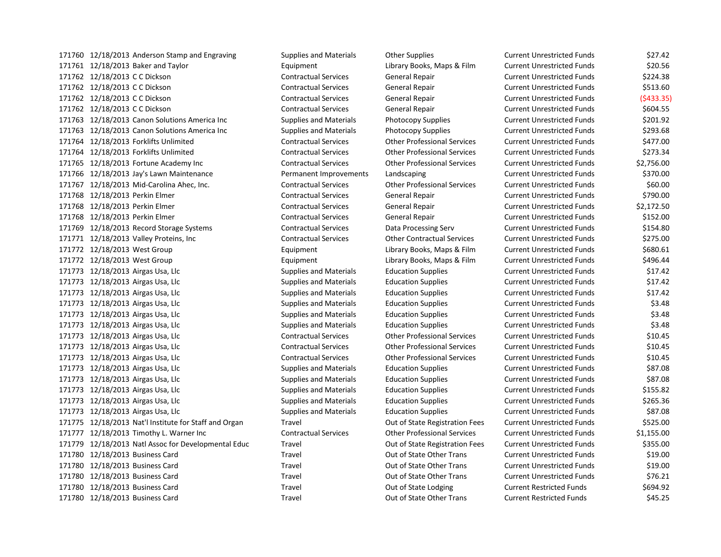171760 12/18/2013 Anderson Stamp and Engraving Supplies and Materials Other Supplies Current Unrestricted Funds \$27.42 12/18/2013 Baker and Taylor Equipment Library Books, Maps & Film Current Unrestricted Funds \$20.56 12/18/2013 C C Dickson Contractual Services General Repair Current Unrestricted Funds \$224.38 12/18/2013 C C Dickson Contractual Services General Repair Current Unrestricted Funds \$513.60 12/18/2013 C C Dickson Contractual Services General Repair Current Unrestricted Funds (\$433.35) 12/18/2013 C C Dickson Contractual Services General Repair Current Unrestricted Funds \$604.55 12/18/2013 Canon Solutions America Inc Supplies and Materials Photocopy Supplies Current Unrestricted Funds \$201.92 12/18/2013 Canon Solutions America Inc Supplies and Materials Photocopy Supplies Current Unrestricted Funds \$293.68 12/18/2013 Forklifts Unlimited Contractual Services Other Professional Services Current Unrestricted Funds \$477.00 12/18/2013 Forklifts Unlimited Contractual Services Other Professional Services Current Unrestricted Funds \$273.34 12/18/2013 Fortune Academy Inc Contractual Services Other Professional Services Current Unrestricted Funds \$2,756.00 12/18/2013 Jay's Lawn Maintenance Permanent Improvements Landscaping Current Unrestricted Funds \$370.00 12/18/2013 Mid-Carolina Ahec, Inc. Contractual Services Other Professional Services Current Unrestricted Funds \$60.00 12/18/2013 Perkin Elmer Contractual Services General Repair Current Unrestricted Funds \$790.00 12/18/2013 Perkin Elmer Contractual Services General Repair Current Unrestricted Funds \$2,172.50 12/18/2013 Perkin Elmer Contractual Services General Repair Current Unrestricted Funds \$152.00 12/18/2013 Record Storage Systems Contractual Services Data Processing Serv Current Unrestricted Funds \$154.80 12/18/2013 Valley Proteins, Inc Contractual Services Other Contractual Services Current Unrestricted Funds \$275.00 12/18/2013 West Group Equipment Library Books, Maps & Film Current Unrestricted Funds \$680.61 12/18/2013 West Group Equipment Library Books, Maps & Film Current Unrestricted Funds \$496.44 12/18/2013 Airgas Usa, Llc Supplies and Materials Education Supplies Current Unrestricted Funds \$17.42 12/18/2013 Airgas Usa, Llc Supplies and Materials Education Supplies Current Unrestricted Funds \$17.42 12/18/2013 Airgas Usa, Llc Supplies and Materials Education Supplies Current Unrestricted Funds \$17.42 12/18/2013 Airgas Usa, Llc Supplies and Materials Education Supplies Current Unrestricted Funds \$3.48 12/18/2013 Airgas Usa, Llc Supplies and Materials Education Supplies Current Unrestricted Funds \$3.48 12/18/2013 Airgas Usa, Llc Supplies and Materials Education Supplies Current Unrestricted Funds \$3.48 12/18/2013 Airgas Usa, Llc Contractual Services Other Professional Services Current Unrestricted Funds \$10.45 12/18/2013 Airgas Usa, Llc Contractual Services Other Professional Services Current Unrestricted Funds \$10.45 12/18/2013 Airgas Usa, Llc Contractual Services Other Professional Services Current Unrestricted Funds \$10.45 12/18/2013 Airgas Usa, Llc Supplies and Materials Education Supplies Current Unrestricted Funds \$87.08 12/18/2013 Airgas Usa, Llc Supplies and Materials Education Supplies Current Unrestricted Funds \$87.08 12/18/2013 Airgas Usa, Llc Supplies and Materials Education Supplies Current Unrestricted Funds \$155.82 12/18/2013 Airgas Usa, Llc Supplies and Materials Education Supplies Current Unrestricted Funds \$265.36 12/18/2013 Airgas Usa, Llc Supplies and Materials Education Supplies Current Unrestricted Funds \$87.08 12/18/2013 Nat'l Institute for Staff and Organ Travel Out of State Registration Fees Current Unrestricted Funds \$525.00 12/18/2013 Timothy L. Warner Inc Contractual Services Other Professional Services Current Unrestricted Funds \$1,155.00 12/18/2013 Natl Assoc for Developmental Educ Travel Out of State Registration Fees Current Unrestricted Funds \$355.00 12/18/2013 Business Card Travel Out of State Other Trans Current Unrestricted Funds \$19.00 12/18/2013 Business Card Travel Out of State Other Trans Current Unrestricted Funds \$19.00 12/18/2013 Business Card Travel Out of State Other Trans Current Unrestricted Funds \$76.21 171780 12/18/2013 Business Card Travel Travel Current Restricted Funds \$694.92 12/18/2013 Business Card Travel Out of State Other Trans Current Restricted Funds \$45.25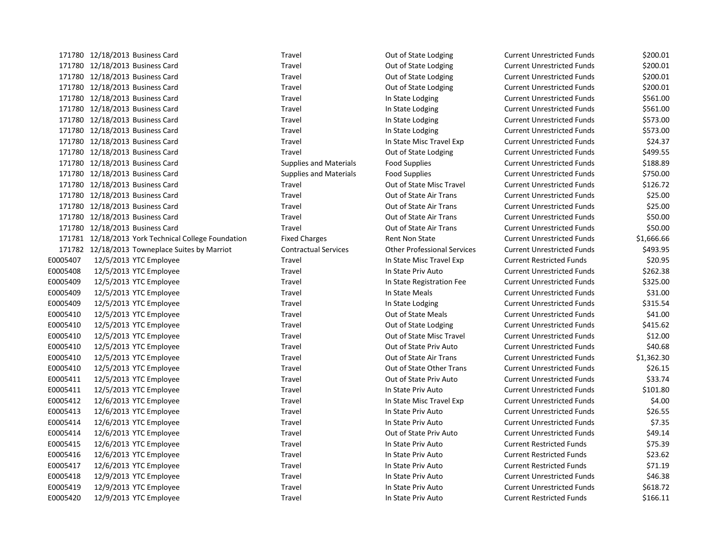|          | 1/1/80 12/18/2013 Business Card                     | Travel                        | Out of State Lodging               | Current Unrestricted Funds        | \$200.01   |
|----------|-----------------------------------------------------|-------------------------------|------------------------------------|-----------------------------------|------------|
|          | 171780 12/18/2013 Business Card                     | Travel                        | Out of State Lodging               | <b>Current Unrestricted Funds</b> | \$200.01   |
|          | 171780 12/18/2013 Business Card                     | Travel                        | Out of State Lodging               | <b>Current Unrestricted Funds</b> | \$200.01   |
|          | 171780 12/18/2013 Business Card                     | Travel                        | Out of State Lodging               | <b>Current Unrestricted Funds</b> | \$200.01   |
|          | 171780 12/18/2013 Business Card                     | Travel                        | In State Lodging                   | <b>Current Unrestricted Funds</b> | \$561.00   |
|          | 171780 12/18/2013 Business Card                     | Travel                        | In State Lodging                   | <b>Current Unrestricted Funds</b> | \$561.00   |
|          | 171780 12/18/2013 Business Card                     | Travel                        | In State Lodging                   | <b>Current Unrestricted Funds</b> | \$573.00   |
|          | 171780 12/18/2013 Business Card                     | Travel                        | In State Lodging                   | <b>Current Unrestricted Funds</b> | \$573.00   |
|          | 171780 12/18/2013 Business Card                     | Travel                        | In State Misc Travel Exp           | <b>Current Unrestricted Funds</b> | \$24.37    |
|          | 171780 12/18/2013 Business Card                     | Travel                        | Out of State Lodging               | <b>Current Unrestricted Funds</b> | \$499.55   |
|          | 171780 12/18/2013 Business Card                     | <b>Supplies and Materials</b> | <b>Food Supplies</b>               | <b>Current Unrestricted Funds</b> | \$188.89   |
|          | 171780 12/18/2013 Business Card                     | <b>Supplies and Materials</b> | <b>Food Supplies</b>               | <b>Current Unrestricted Funds</b> | \$750.00   |
|          | 171780 12/18/2013 Business Card                     | Travel                        | Out of State Misc Travel           | <b>Current Unrestricted Funds</b> | \$126.72   |
|          | 171780 12/18/2013 Business Card                     | Travel                        | Out of State Air Trans             | <b>Current Unrestricted Funds</b> | \$25.00    |
|          | 171780 12/18/2013 Business Card                     | Travel                        | Out of State Air Trans             | <b>Current Unrestricted Funds</b> | \$25.00    |
|          | 171780 12/18/2013 Business Card                     | Travel                        | Out of State Air Trans             | <b>Current Unrestricted Funds</b> | \$50.00    |
|          | 171780 12/18/2013 Business Card                     | Travel                        | Out of State Air Trans             | <b>Current Unrestricted Funds</b> | \$50.00    |
|          | 171781 12/18/2013 York Technical College Foundation | <b>Fixed Charges</b>          | <b>Rent Non State</b>              | <b>Current Unrestricted Funds</b> | \$1,666.66 |
|          | 171782 12/18/2013 Towneplace Suites by Marriot      | <b>Contractual Services</b>   | <b>Other Professional Services</b> | <b>Current Unrestricted Funds</b> | \$493.95   |
| E0005407 | 12/5/2013 YTC Employee                              | Travel                        | In State Misc Travel Exp           | <b>Current Restricted Funds</b>   | \$20.95    |
| E0005408 | 12/5/2013 YTC Employee                              | Travel                        | In State Priv Auto                 | <b>Current Unrestricted Funds</b> | \$262.38   |
| E0005409 | 12/5/2013 YTC Employee                              | Travel                        | In State Registration Fee          | <b>Current Unrestricted Funds</b> | \$325.00   |
| E0005409 | 12/5/2013 YTC Employee                              | Travel                        | In State Meals                     | <b>Current Unrestricted Funds</b> | \$31.00    |
| E0005409 | 12/5/2013 YTC Employee                              | Travel                        | In State Lodging                   | <b>Current Unrestricted Funds</b> | \$315.54   |
| E0005410 | 12/5/2013 YTC Employee                              | Travel                        | Out of State Meals                 | <b>Current Unrestricted Funds</b> | \$41.00    |
| E0005410 | 12/5/2013 YTC Employee                              | Travel                        | Out of State Lodging               | <b>Current Unrestricted Funds</b> | \$415.62   |
| E0005410 | 12/5/2013 YTC Employee                              | Travel                        | Out of State Misc Travel           | Current Unrestricted Funds        | \$12.00    |
| E0005410 | 12/5/2013 YTC Employee                              | Travel                        | Out of State Priv Auto             | <b>Current Unrestricted Funds</b> | \$40.68    |
| E0005410 | 12/5/2013 YTC Employee                              | Travel                        | Out of State Air Trans             | <b>Current Unrestricted Funds</b> | \$1,362.30 |
| E0005410 | 12/5/2013 YTC Employee                              | Travel                        | Out of State Other Trans           | <b>Current Unrestricted Funds</b> | \$26.15    |
| E0005411 | 12/5/2013 YTC Employee                              | Travel                        | Out of State Priv Auto             | <b>Current Unrestricted Funds</b> | \$33.74    |
| E0005411 | 12/5/2013 YTC Employee                              | Travel                        | In State Priv Auto                 | Current Unrestricted Funds        | \$101.80   |
| E0005412 | 12/6/2013 YTC Employee                              | Travel                        | In State Misc Travel Exp           | <b>Current Unrestricted Funds</b> | \$4.00     |
| E0005413 | 12/6/2013 YTC Employee                              | Travel                        | In State Priv Auto                 | <b>Current Unrestricted Funds</b> | \$26.55    |
| E0005414 | 12/6/2013 YTC Employee                              | Travel                        | In State Priv Auto                 | <b>Current Unrestricted Funds</b> | \$7.35     |
| E0005414 | 12/6/2013 YTC Employee                              | Travel                        | Out of State Priv Auto             | <b>Current Unrestricted Funds</b> | \$49.14    |
| E0005415 | 12/6/2013 YTC Employee                              | Travel                        | In State Priv Auto                 | <b>Current Restricted Funds</b>   | \$75.39    |
| E0005416 | 12/6/2013 YTC Employee                              | Travel                        | In State Priv Auto                 | <b>Current Restricted Funds</b>   | \$23.62    |
| E0005417 | 12/6/2013 YTC Employee                              | Travel                        | In State Priv Auto                 | <b>Current Restricted Funds</b>   | \$71.19    |
| E0005418 | 12/9/2013 YTC Employee                              | Travel                        | In State Priv Auto                 | <b>Current Unrestricted Funds</b> | \$46.38    |
| E0005419 | 12/9/2013 YTC Employee                              | Travel                        | In State Priv Auto                 | <b>Current Unrestricted Funds</b> | \$618.72   |
| E0005420 | 12/9/2013 YTC Employee                              | Travel                        | In State Priv Auto                 | <b>Current Restricted Funds</b>   | \$166.11   |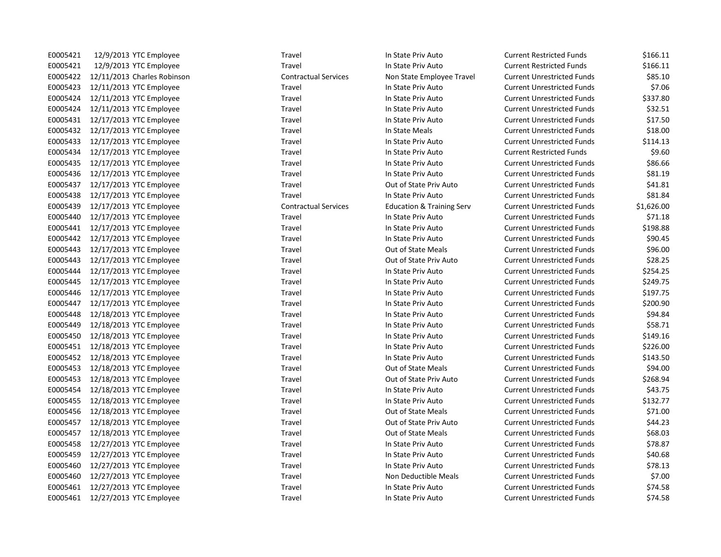| E0005421 | 12/9/2013 YTC Employee           | Travel                      | In State Priv Auto                   | <b>Current Restricted Funds</b>   | \$166.11   |
|----------|----------------------------------|-----------------------------|--------------------------------------|-----------------------------------|------------|
| E0005421 | 12/9/2013 YTC Employee           | Travel                      | In State Priv Auto                   | <b>Current Restricted Funds</b>   | \$166.11   |
| E0005422 | 12/11/2013 Charles Robinson      | <b>Contractual Services</b> | Non State Employee Travel            | <b>Current Unrestricted Funds</b> | \$85.10    |
| E0005423 | 12/11/2013 YTC Employee          | Travel                      | In State Priv Auto                   | <b>Current Unrestricted Funds</b> | \$7.06     |
| E0005424 | 12/11/2013 YTC Employee          | Travel                      | In State Priv Auto                   | <b>Current Unrestricted Funds</b> | \$337.80   |
| E0005424 | 12/11/2013 YTC Employee          | Travel                      | In State Priv Auto                   | <b>Current Unrestricted Funds</b> | \$32.51    |
| E0005431 | 12/17/2013 YTC Employee          | Travel                      | In State Priv Auto                   | <b>Current Unrestricted Funds</b> | \$17.50    |
| E0005432 | 12/17/2013 YTC Employee          | Travel                      | In State Meals                       | <b>Current Unrestricted Funds</b> | \$18.00    |
| E0005433 | 12/17/2013 YTC Employee          | Travel                      | In State Priv Auto                   | <b>Current Unrestricted Funds</b> | \$114.13   |
| E0005434 | 12/17/2013 YTC Employee          | Travel                      | In State Priv Auto                   | <b>Current Restricted Funds</b>   | \$9.60     |
| E0005435 | 12/17/2013 YTC Employee          | Travel                      | In State Priv Auto                   | <b>Current Unrestricted Funds</b> | \$86.66    |
| E0005436 | 12/17/2013 YTC Employee          | Travel                      | In State Priv Auto                   | <b>Current Unrestricted Funds</b> | \$81.19    |
| E0005437 | 12/17/2013 YTC Employee          | Travel                      | Out of State Priv Auto               | <b>Current Unrestricted Funds</b> | \$41.81    |
| E0005438 | 12/17/2013 YTC Employee          | Travel                      | In State Priv Auto                   | <b>Current Unrestricted Funds</b> | \$81.84    |
| E0005439 | 12/17/2013 YTC Employee          | <b>Contractual Services</b> | <b>Education &amp; Training Serv</b> | <b>Current Unrestricted Funds</b> | \$1,626.00 |
| E0005440 | 12/17/2013 YTC Employee          | Travel                      | In State Priv Auto                   | <b>Current Unrestricted Funds</b> | \$71.18    |
| E0005441 | 12/17/2013 YTC Employee          | Travel                      | In State Priv Auto                   | <b>Current Unrestricted Funds</b> | \$198.88   |
|          | E0005442 12/17/2013 YTC Employee | Travel                      | In State Priv Auto                   | <b>Current Unrestricted Funds</b> | \$90.45    |
| E0005443 | 12/17/2013 YTC Employee          | Travel                      | Out of State Meals                   | <b>Current Unrestricted Funds</b> | \$96.00    |
| E0005443 | 12/17/2013 YTC Employee          | Travel                      | Out of State Priv Auto               | <b>Current Unrestricted Funds</b> | \$28.25    |
| E0005444 | 12/17/2013 YTC Employee          | Travel                      | In State Priv Auto                   | <b>Current Unrestricted Funds</b> | \$254.25   |
| E0005445 | 12/17/2013 YTC Employee          | Travel                      | In State Priv Auto                   | <b>Current Unrestricted Funds</b> | \$249.75   |
| E0005446 | 12/17/2013 YTC Employee          | Travel                      | In State Priv Auto                   | <b>Current Unrestricted Funds</b> | \$197.75   |
| E0005447 | 12/17/2013 YTC Employee          | Travel                      | In State Priv Auto                   | <b>Current Unrestricted Funds</b> | \$200.90   |
| E0005448 | 12/18/2013 YTC Employee          | Travel                      | In State Priv Auto                   | <b>Current Unrestricted Funds</b> | \$94.84    |
| E0005449 | 12/18/2013 YTC Employee          | Travel                      | In State Priv Auto                   | <b>Current Unrestricted Funds</b> | \$58.71    |
| E0005450 | 12/18/2013 YTC Employee          | Travel                      | In State Priv Auto                   | <b>Current Unrestricted Funds</b> | \$149.16   |
| E0005451 | 12/18/2013 YTC Employee          | Travel                      | In State Priv Auto                   | <b>Current Unrestricted Funds</b> | \$226.00   |
| E0005452 | 12/18/2013 YTC Employee          | Travel                      | In State Priv Auto                   | <b>Current Unrestricted Funds</b> | \$143.50   |
| E0005453 | 12/18/2013 YTC Employee          | Travel                      | Out of State Meals                   | <b>Current Unrestricted Funds</b> | \$94.00    |
| E0005453 | 12/18/2013 YTC Employee          | Travel                      | Out of State Priv Auto               | <b>Current Unrestricted Funds</b> | \$268.94   |
| E0005454 | 12/18/2013 YTC Employee          | Travel                      | In State Priv Auto                   | <b>Current Unrestricted Funds</b> | \$43.75    |
| E0005455 | 12/18/2013 YTC Employee          | Travel                      | In State Priv Auto                   | <b>Current Unrestricted Funds</b> | \$132.77   |
| E0005456 | 12/18/2013 YTC Employee          | Travel                      | Out of State Meals                   | <b>Current Unrestricted Funds</b> | \$71.00    |
| E0005457 | 12/18/2013 YTC Employee          | Travel                      | Out of State Priv Auto               | <b>Current Unrestricted Funds</b> | \$44.23    |
| E0005457 | 12/18/2013 YTC Employee          | Travel                      | Out of State Meals                   | <b>Current Unrestricted Funds</b> | \$68.03    |
| E0005458 | 12/27/2013 YTC Employee          | Travel                      | In State Priv Auto                   | <b>Current Unrestricted Funds</b> | \$78.87    |
| E0005459 | 12/27/2013 YTC Employee          | Travel                      | In State Priv Auto                   | <b>Current Unrestricted Funds</b> | \$40.68    |
| E0005460 | 12/27/2013 YTC Employee          | Travel                      | In State Priv Auto                   | <b>Current Unrestricted Funds</b> | \$78.13    |
| E0005460 | 12/27/2013 YTC Employee          | Travel                      | Non Deductible Meals                 | <b>Current Unrestricted Funds</b> | \$7.00     |
| E0005461 | 12/27/2013 YTC Employee          | Travel                      | In State Priv Auto                   | <b>Current Unrestricted Funds</b> | \$74.58    |
|          | E0005461 12/27/2013 YTC Employee | Travel                      | In State Priv Auto                   | <b>Current Unrestricted Funds</b> | \$74.58    |
|          |                                  |                             |                                      |                                   |            |